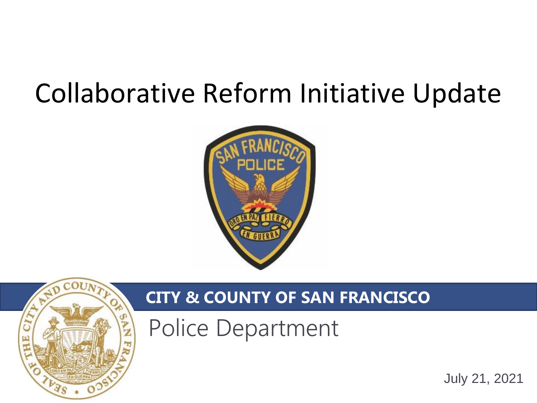# Collaborative Reform Initiative Update





### **CITY & COUNTY OF SAN FRANCISCO**

Police Department

July 21, 2021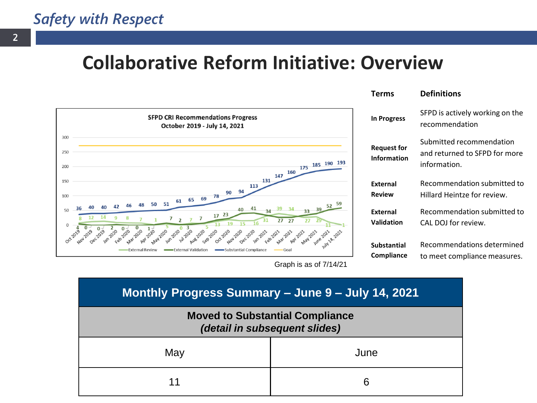### **Collaborative Reform Initiative: Overview**



**Terms Definitions**

| In Progress                       | SFPD is actively working on the<br>recommendation<br>Submitted recommendation<br>and returned to SFPD for more<br>information. |  |  |  |  |
|-----------------------------------|--------------------------------------------------------------------------------------------------------------------------------|--|--|--|--|
| <b>Request for</b><br>Information |                                                                                                                                |  |  |  |  |
| External<br><b>Review</b>         | Recommendation submitted to<br>Hillard Heintze for review.                                                                     |  |  |  |  |
| <b>External</b><br>Validation     | Recommendation submitted to<br>CAL DOJ for review.                                                                             |  |  |  |  |
| Substantial                       | Recommendations determined                                                                                                     |  |  |  |  |

to meet compliance measures.

Graph is as of 7/14/21

**Compliance**

| Monthly Progress Summary - June 9 - July 14, 2021                       |      |  |  |  |  |
|-------------------------------------------------------------------------|------|--|--|--|--|
| <b>Moved to Substantial Compliance</b><br>(detail in subsequent slides) |      |  |  |  |  |
| May                                                                     | June |  |  |  |  |
| 11                                                                      | 6    |  |  |  |  |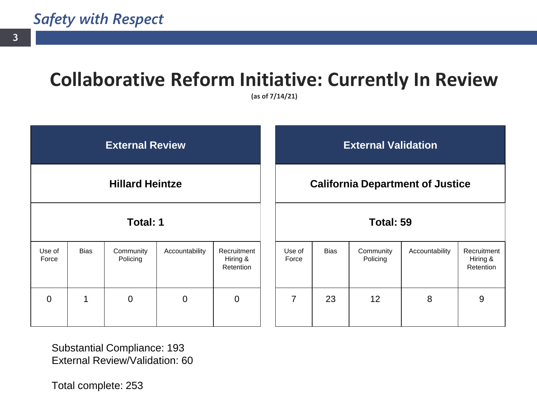### **Collaborative Reform Initiative: Currently In Review**

**(as of 7/14/21)**

| <b>External Review</b> |             |                       |                                         | <b>External Validation</b>           |                 |             |                       |                |                                      |
|------------------------|-------------|-----------------------|-----------------------------------------|--------------------------------------|-----------------|-------------|-----------------------|----------------|--------------------------------------|
| <b>Hillard Heintze</b> |             |                       | <b>California Department of Justice</b> |                                      |                 |             |                       |                |                                      |
| <b>Total: 1</b>        |             |                       | Total: 59                               |                                      |                 |             |                       |                |                                      |
| Use of<br>Force        | <b>Bias</b> | Community<br>Policing | Accountability                          | Recruitment<br>Hiring &<br>Retention | Use of<br>Force | <b>Bias</b> | Community<br>Policing | Accountability | Recruitment<br>Hiring &<br>Retention |
| $\overline{0}$         |             | $\mathbf 0$           | $\mathbf 0$                             | $\overline{0}$                       | 7               | 23          | 12                    | 8              | 9                                    |

Substantial Compliance: 193 External Review/Validation: 60

Total complete: 253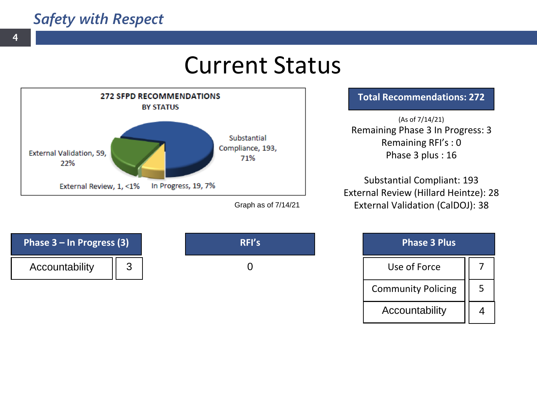Accountability || 3

## Current Status

0



**Total Recommendations: 272**

(As of 7/14/21) Remaining Phase 3 In Progress: 3 Remaining RFI's : 0 Phase 3 plus : 16

Substantial Compliant: 193 External Review (Hillard Heintze): 28 External Validation (CalDOJ): 38

| <b>Phase 3 Plus</b>       |   |  |  |  |  |
|---------------------------|---|--|--|--|--|
| Use of Force              |   |  |  |  |  |
| <b>Community Policing</b> | 5 |  |  |  |  |
| Accountability            |   |  |  |  |  |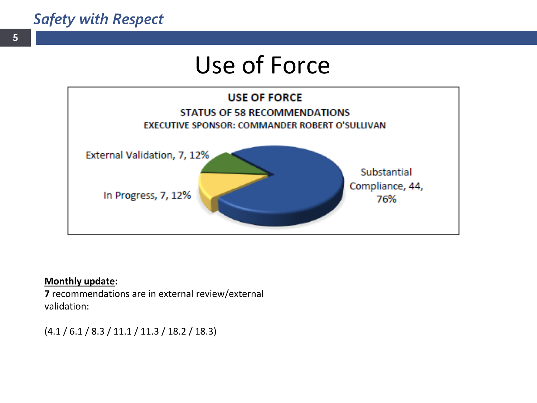## Use of Force



#### **Monthly update:**

**7** recommendations are in external review/external validation:

(4.1 / 6.1 / 8.3 / 11.1 / 11.3 / 18.2 / 18.3)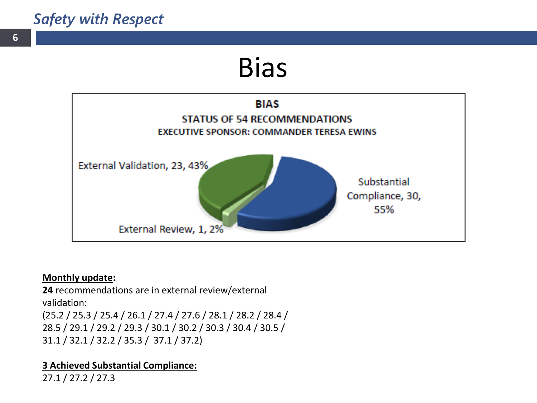## Bias



#### **Monthly update:**

**24** recommendations are in external review/external validation: (25.2 / 25.3 / 25.4 / 26.1 / 27.4 / 27.6 / 28.1 / 28.2 / 28.4 / 28.5 / 29.1 / 29.2 / 29.3 / 30.1 / 30.2 / 30.3 / 30.4 / 30.5 / 31.1 / 32.1 / 32.2 / 35.3 / 37.1 / 37.2)

#### **3 Achieved Substantial Compliance:**

27.1 / 27.2 / 27.3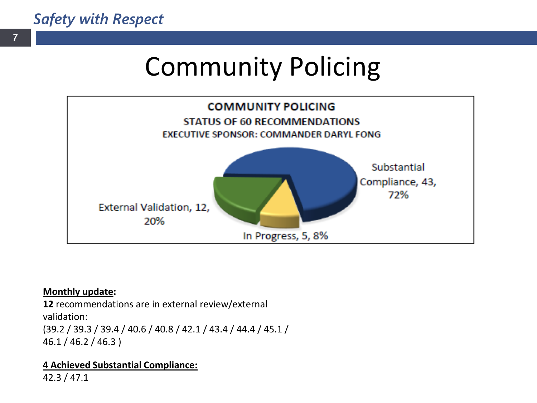# Community Policing



#### **Monthly update:**

**12** recommendations are in external review/external validation: (39.2 / 39.3 / 39.4 / 40.6 / 40.8 / 42.1 / 43.4 / 44.4 / 45.1 / 46.1 / 46.2 / 46.3 )

#### **4 Achieved Substantial Compliance:**

42.3 / 47.1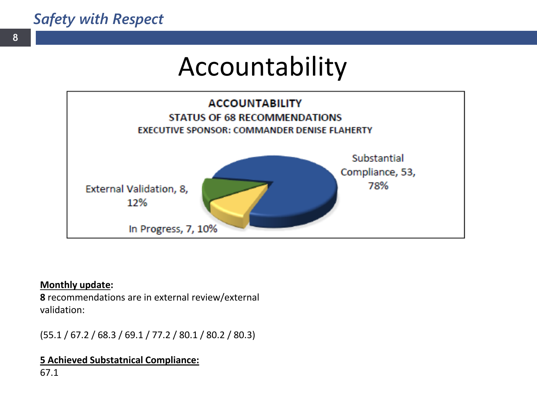## Accountability



#### **Monthly update:**

**8** recommendations are in external review/external validation:

(55.1 / 67.2 / 68.3 / 69.1 / 77.2 / 80.1 / 80.2 / 80.3)

#### **5 Achieved Substatnical Compliance:**

67.1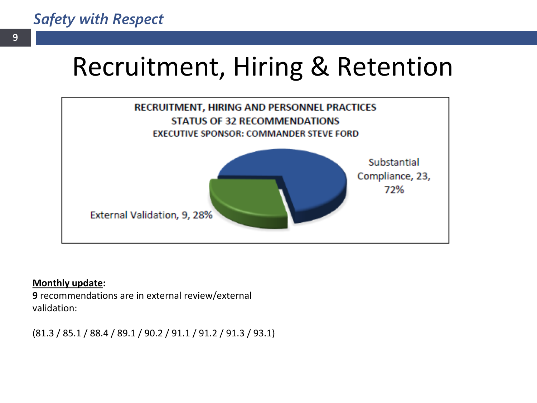# Recruitment, Hiring & Retention



#### **Monthly update:**

**9** recommendations are in external review/external validation:

(81.3 / 85.1 / 88.4 / 89.1 / 90.2 / 91.1 / 91.2 / 91.3 / 93.1)